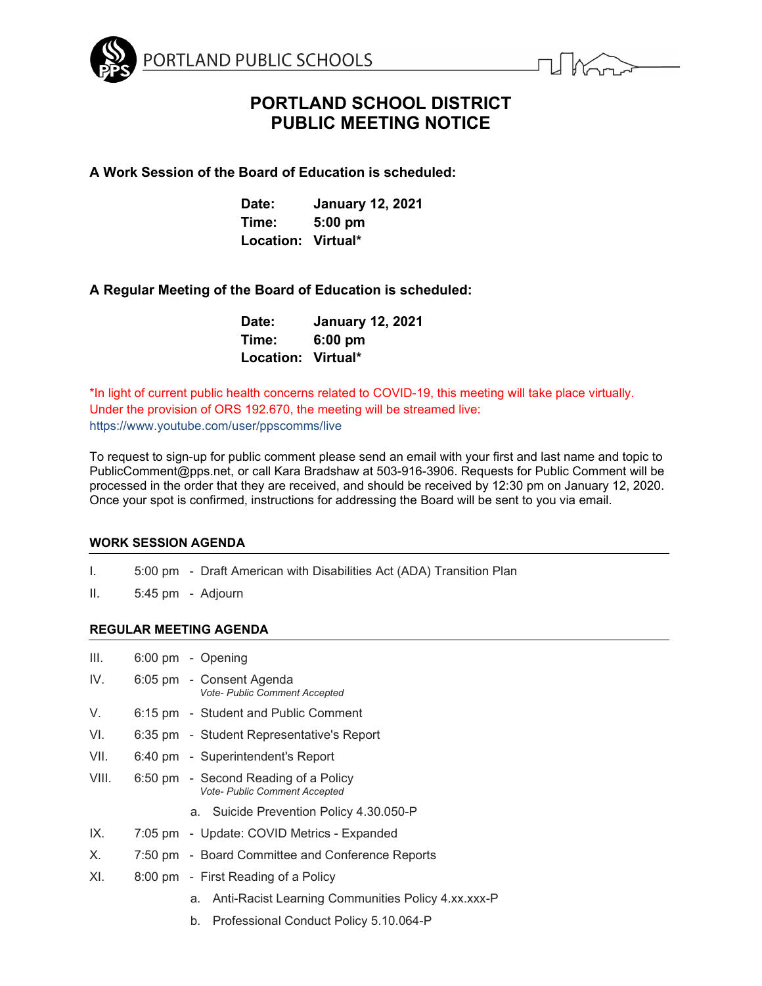

# **PORTLAND SCHOOL DISTRICT PUBLIC MEETING NOTICE**

**A Work Session of the Board of Education is scheduled:**

| Date:              | <b>January 12, 2021</b> |
|--------------------|-------------------------|
| Time:              | $5:00$ pm               |
| Location: Virtual* |                         |

# **A Regular Meeting of the Board of Education is scheduled:**

| Date:              | <b>January 12, 2021</b> |
|--------------------|-------------------------|
| Time:              | $6:00$ pm               |
| Location: Virtual* |                         |

\*In light of current public health concerns related to COVID-19, this meeting will take place virtually. Under the provision of ORS 192.670, the meeting will be streamed live: https://www.youtube.com/user/ppscomms/live

To request to sign-up for public comment please send an email with your first and last name and topic to PublicComment@pps.net, or call Kara Bradshaw at 503-916-3906. Requests for Public Comment will be processed in the order that they are received, and should be received by 12:30 pm on January 12, 2020. Once your spot is confirmed, instructions for addressing the Board will be sent to you via email.

## **WORK SESSION AGENDA**

- I. 5:00 pm Draft American with Disabilities Act (ADA) Transition Plan
- II. 5:45 pm Adjourn

# **REGULAR MEETING AGENDA**

| III.  | 6:00 pm - Opening                                                            |
|-------|------------------------------------------------------------------------------|
| IV.   | 6:05 pm - Consent Agenda<br>Vote- Public Comment Accepted                    |
| V.    | 6:15 pm - Student and Public Comment                                         |
| VI.   | 6:35 pm - Student Representative's Report                                    |
| VII.  | 6:40 pm - Superintendent's Report                                            |
| VIII. | 6:50 pm - Second Reading of a Policy<br><b>Vote- Public Comment Accepted</b> |
|       | a. Suicide Prevention Policy 4.30.050-P                                      |
| IX.   | 7:05 pm - Update: COVID Metrics - Expanded                                   |
| Х.    | 7:50 pm - Board Committee and Conference Reports                             |
| XI.   | 8:00 pm - First Reading of a Policy                                          |
|       | a. Anti-Racist Learning Communities Policy 4.xx.xxx-P                        |

b. Professional Conduct Policy 5.10.064-P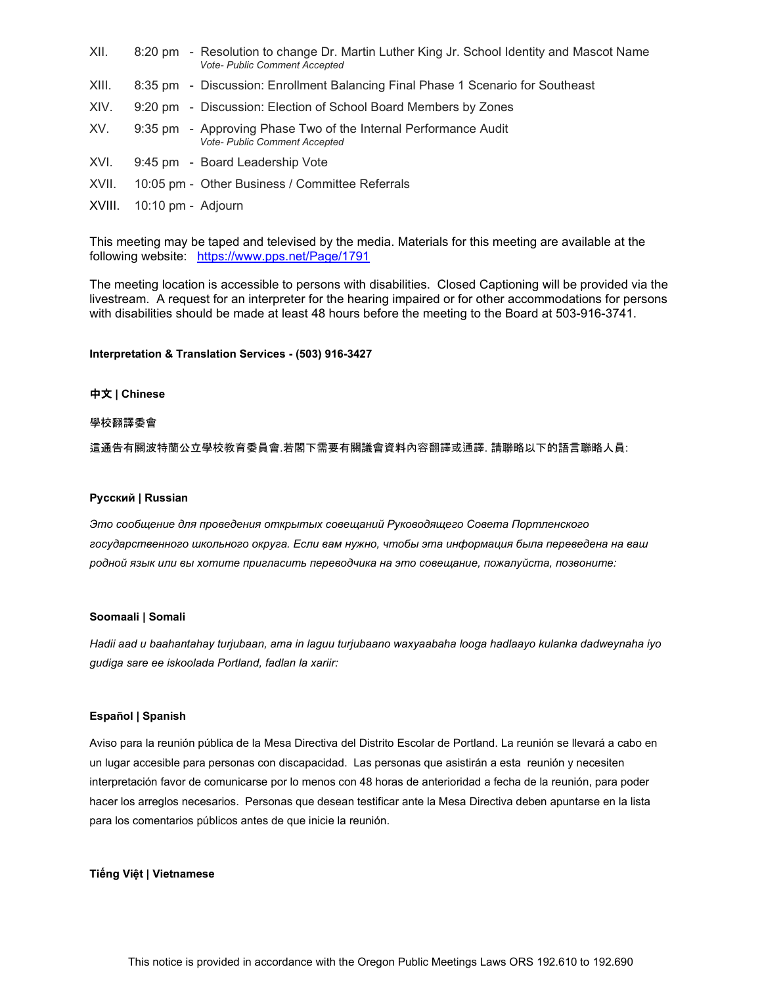| XII.  | 8:20 pm - Resolution to change Dr. Martin Luther King Jr. School Identity and Mascot Name<br><b>Vote- Public Comment Accepted</b> |
|-------|-----------------------------------------------------------------------------------------------------------------------------------|
| XIII. | 8:35 pm - Discussion: Enrollment Balancing Final Phase 1 Scenario for Southeast                                                   |
| XIV.  | 9:20 pm - Discussion: Election of School Board Members by Zones                                                                   |
| XV.   | 9:35 pm - Approving Phase Two of the Internal Performance Audit<br><b>Vote- Public Comment Accepted</b>                           |
| XVI.  | 9:45 pm - Board Leadership Vote                                                                                                   |
| XVII. | 10:05 pm - Other Business / Committee Referrals                                                                                   |
|       |                                                                                                                                   |

XVIII. 10:10 pm - Adjourn

This meeting may be taped and televised by the media. Materials for this meeting are available at the following website: <https://www.pps.net/Page/1791>

The meeting location is accessible to persons with disabilities. Closed Captioning will be provided via the livestream. A request for an interpreter for the hearing impaired or for other accommodations for persons with disabilities should be made at least 48 hours before the meeting to the Board at 503-916-3741.

### **Interpretation & Translation Services - (503) 916-3427**

#### 中文 **| Chinese**

#### 學校翻譯委會

這通告有關波特蘭公立學校教育委員會.若閣下需要有關議會資料內容翻譯或通譯. 請聯略以下的語言聯略人員:

#### **Русский | Russian**

*Это сообщение для проведения открытых совещаний Руководящего Совета Портленского государственного школьного округа. Если вам нужно, чтобы эта информация была переведена на ваш родной язык или вы хотите пригласить переводчика на это совещание, пожалуйста, позвоните:*

#### **Soomaali | Somali**

*Hadii aad u baahantahay turjubaan, ama in laguu turjubaano waxyaabaha looga hadlaayo kulanka dadweynaha iyo gudiga sare ee iskoolada Portland, fadlan la xariir:* 

#### **Español | Spanish**

Aviso para la reunión pública de la Mesa Directiva del Distrito Escolar de Portland. La reunión se llevará a cabo en un lugar accesible para personas con discapacidad. Las personas que asistirán a esta reunión y necesiten interpretación favor de comunicarse por lo menos con 48 horas de anterioridad a fecha de la reunión, para poder hacer los arreglos necesarios. Personas que desean testificar ante la Mesa Directiva deben apuntarse en la lista para los comentarios públicos antes de que inicie la reunión.

#### **Tiếng Việt | Vietnamese**